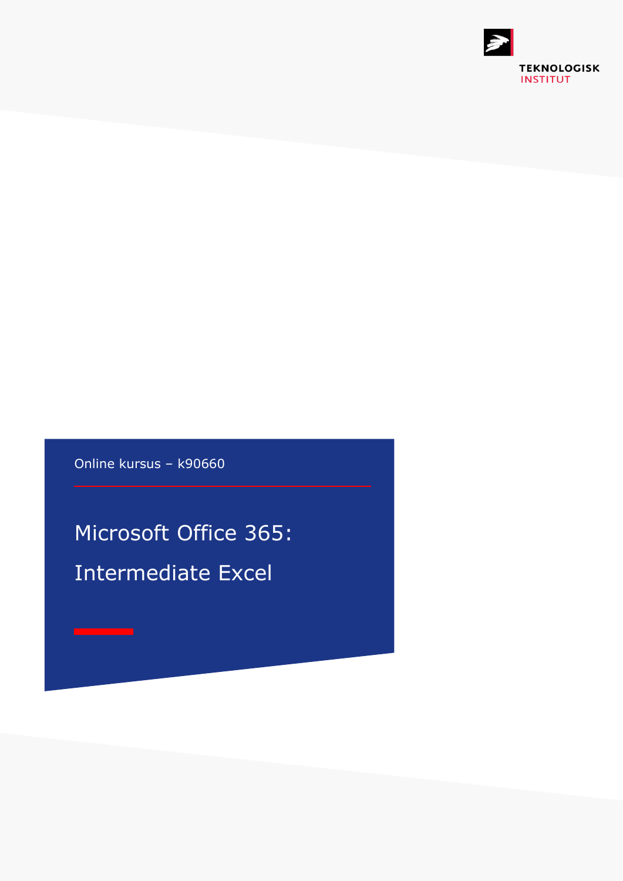

Online kursus – k90660

Microsoft Office 365: Intermediate Excel